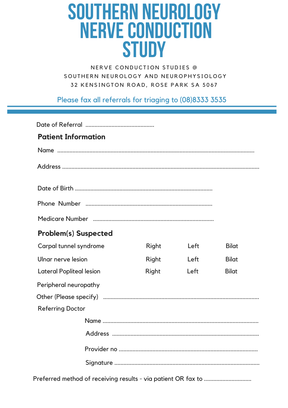# **SOUTHERN NEUROLOGY NERVE CONDUCTION STUDY**

NERVE CONDUCTION STUDIES @ SOUTHERN NEUROLOGY AND NEUROPHYSIOLOGY 32 KENSINGTON ROAD, ROSE PARK SA 5067

Please fax all referrals for triaging to (08)8333 3535

| <b>Patient Information</b>      |  |              |      |              |
|---------------------------------|--|--------------|------|--------------|
|                                 |  |              |      |              |
|                                 |  |              |      |              |
|                                 |  |              |      |              |
|                                 |  |              |      |              |
|                                 |  |              |      |              |
| <b>Problem(s) Suspected</b>     |  |              |      |              |
| Carpal tunnel syndrome          |  | <b>Right</b> | Left | <b>Bilat</b> |
| Ulnar nerve lesion              |  | <b>Right</b> | Left | <b>Bilat</b> |
| <b>Lateral Popliteal lesion</b> |  | Right        | Left | <b>Bilat</b> |
| Peripheral neuropathy           |  |              |      |              |
|                                 |  |              |      |              |
| <b>Referring Doctor</b>         |  |              |      |              |
|                                 |  |              |      |              |
| Address                         |  |              |      |              |
|                                 |  |              |      |              |
|                                 |  |              |      |              |
|                                 |  |              |      |              |